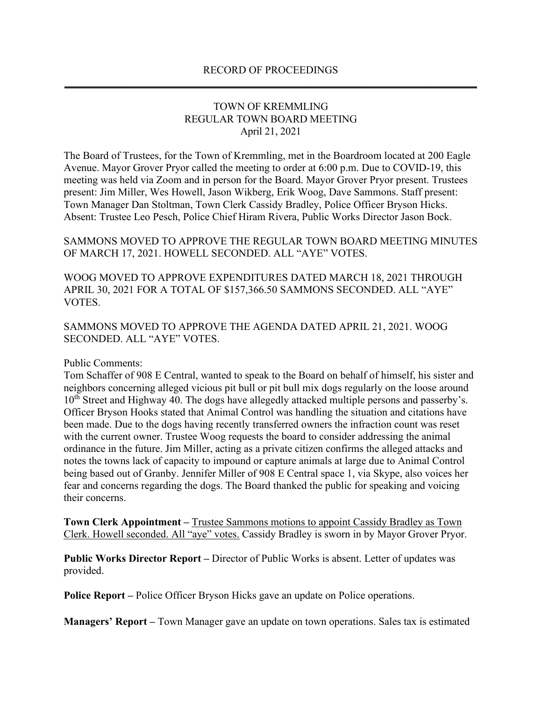## RECORD OF PROCEEDINGS **\_\_\_\_\_\_\_\_\_\_\_\_\_\_\_\_\_\_\_\_\_\_\_\_\_\_\_\_\_\_\_\_\_\_\_\_\_\_\_\_\_\_\_\_\_\_\_\_\_\_\_\_\_\_\_\_\_\_\_\_\_\_\_\_\_\_\_\_\_\_\_\_\_\_\_\_\_\_\_**

## TOWN OF KREMMLING REGULAR TOWN BOARD MEETING April 21, 2021

The Board of Trustees, for the Town of Kremmling, met in the Boardroom located at 200 Eagle Avenue. Mayor Grover Pryor called the meeting to order at 6:00 p.m. Due to COVID-19, this meeting was held via Zoom and in person for the Board. Mayor Grover Pryor present. Trustees present: Jim Miller, Wes Howell, Jason Wikberg, Erik Woog, Dave Sammons. Staff present: Town Manager Dan Stoltman, Town Clerk Cassidy Bradley, Police Officer Bryson Hicks. Absent: Trustee Leo Pesch, Police Chief Hiram Rivera, Public Works Director Jason Bock.

SAMMONS MOVED TO APPROVE THE REGULAR TOWN BOARD MEETING MINUTES OF MARCH 17, 2021. HOWELL SECONDED. ALL "AYE" VOTES.

WOOG MOVED TO APPROVE EXPENDITURES DATED MARCH 18, 2021 THROUGH APRIL 30, 2021 FOR A TOTAL OF \$157,366.50 SAMMONS SECONDED. ALL "AYE" VOTES.

SAMMONS MOVED TO APPROVE THE AGENDA DATED APRIL 21, 2021. WOOG SECONDED. ALL "AYE" VOTES.

## Public Comments:

Tom Schaffer of 908 E Central, wanted to speak to the Board on behalf of himself, his sister and neighbors concerning alleged vicious pit bull or pit bull mix dogs regularly on the loose around 10<sup>th</sup> Street and Highway 40. The dogs have allegedly attacked multiple persons and passerby's. Officer Bryson Hooks stated that Animal Control was handling the situation and citations have been made. Due to the dogs having recently transferred owners the infraction count was reset with the current owner. Trustee Woog requests the board to consider addressing the animal ordinance in the future. Jim Miller, acting as a private citizen confirms the alleged attacks and notes the towns lack of capacity to impound or capture animals at large due to Animal Control being based out of Granby. Jennifer Miller of 908 E Central space 1, via Skype, also voices her fear and concerns regarding the dogs. The Board thanked the public for speaking and voicing their concerns.

**Town Clerk Appointment –** Trustee Sammons motions to appoint Cassidy Bradley as Town Clerk. Howell seconded. All "aye" votes. Cassidy Bradley is sworn in by Mayor Grover Pryor.

**Public Works Director Report –** Director of Public Works is absent. Letter of updates was provided.

**Police Report –** Police Officer Bryson Hicks gave an update on Police operations.

**Managers' Report –** Town Manager gave an update on town operations. Sales tax is estimated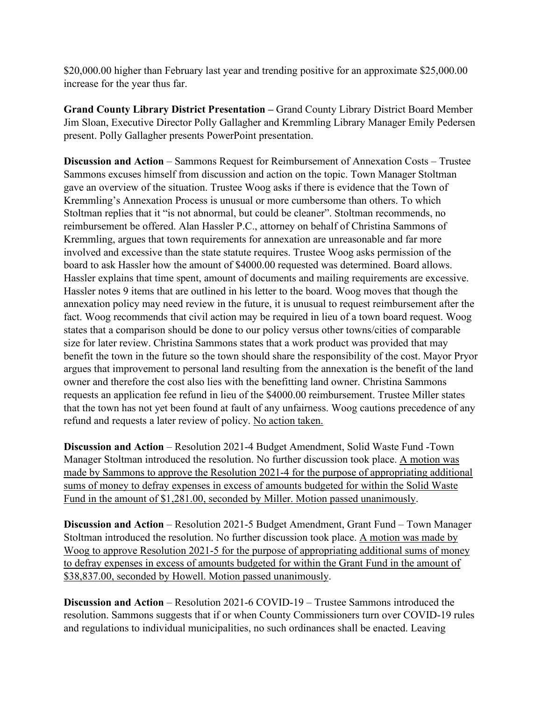\$20,000.00 higher than February last year and trending positive for an approximate \$25,000.00 increase for the year thus far.

**Grand County Library District Presentation –** Grand County Library District Board Member Jim Sloan, Executive Director Polly Gallagher and Kremmling Library Manager Emily Pedersen present. Polly Gallagher presents PowerPoint presentation.

**Discussion and Action** – Sammons Request for Reimbursement of Annexation Costs – Trustee Sammons excuses himself from discussion and action on the topic. Town Manager Stoltman gave an overview of the situation. Trustee Woog asks if there is evidence that the Town of Kremmling's Annexation Process is unusual or more cumbersome than others. To which Stoltman replies that it "is not abnormal, but could be cleaner". Stoltman recommends, no reimbursement be offered. Alan Hassler P.C., attorney on behalf of Christina Sammons of Kremmling, argues that town requirements for annexation are unreasonable and far more involved and excessive than the state statute requires. Trustee Woog asks permission of the board to ask Hassler how the amount of \$4000.00 requested was determined. Board allows. Hassler explains that time spent, amount of documents and mailing requirements are excessive. Hassler notes 9 items that are outlined in his letter to the board. Woog moves that though the annexation policy may need review in the future, it is unusual to request reimbursement after the fact. Woog recommends that civil action may be required in lieu of a town board request. Woog states that a comparison should be done to our policy versus other towns/cities of comparable size for later review. Christina Sammons states that a work product was provided that may benefit the town in the future so the town should share the responsibility of the cost. Mayor Pryor argues that improvement to personal land resulting from the annexation is the benefit of the land owner and therefore the cost also lies with the benefitting land owner. Christina Sammons requests an application fee refund in lieu of the \$4000.00 reimbursement. Trustee Miller states that the town has not yet been found at fault of any unfairness. Woog cautions precedence of any refund and requests a later review of policy. No action taken.

**Discussion and Action** – Resolution 2021-4 Budget Amendment, Solid Waste Fund -Town Manager Stoltman introduced the resolution. No further discussion took place. A motion was made by Sammons to approve the Resolution 2021-4 for the purpose of appropriating additional sums of money to defray expenses in excess of amounts budgeted for within the Solid Waste Fund in the amount of \$1,281.00, seconded by Miller. Motion passed unanimously.

**Discussion and Action** – Resolution 2021-5 Budget Amendment, Grant Fund – Town Manager Stoltman introduced the resolution. No further discussion took place. A motion was made by Woog to approve Resolution 2021-5 for the purpose of appropriating additional sums of money to defray expenses in excess of amounts budgeted for within the Grant Fund in the amount of \$38,837.00, seconded by Howell. Motion passed unanimously.

**Discussion and Action** – Resolution 2021-6 COVID-19 – Trustee Sammons introduced the resolution. Sammons suggests that if or when County Commissioners turn over COVID-19 rules and regulations to individual municipalities, no such ordinances shall be enacted. Leaving